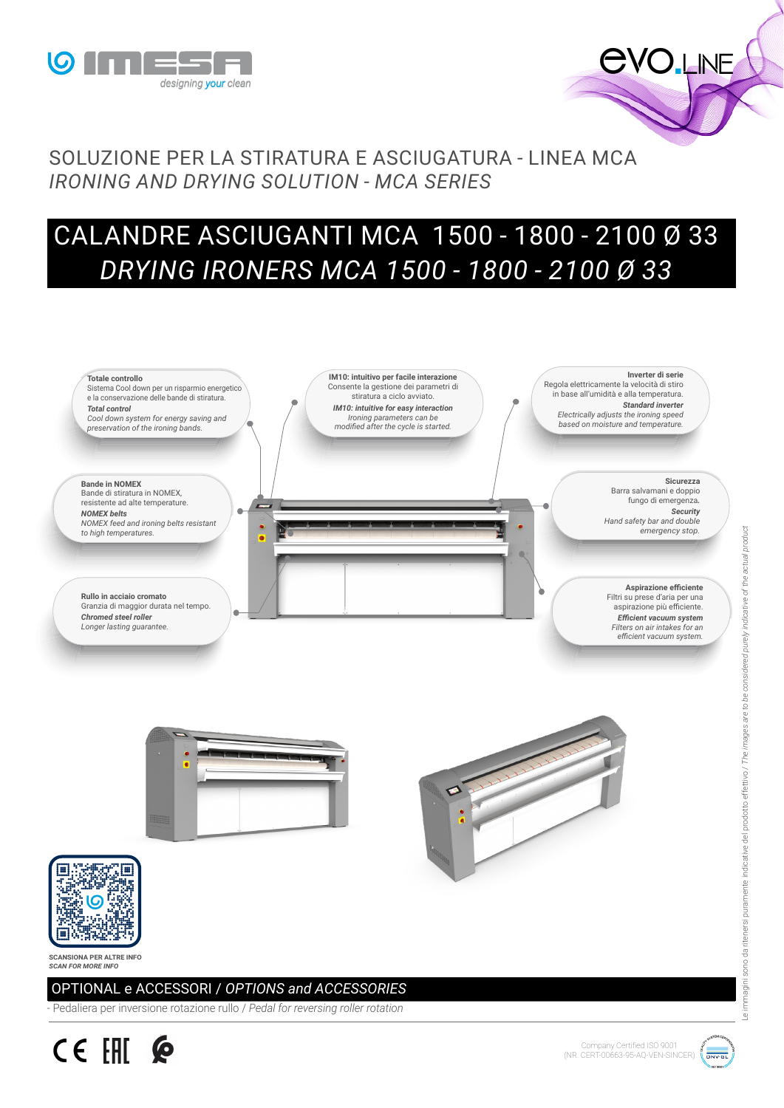



## SOLUZIONE PER LA STIRATURA E ASCIUGATURA - LINEA MCA *IRONING AND DRYING SOLUTION - MCA SERIES*

## CALANDRE ASCIUGANTI MCA 1500 - 1800 - 2100 Ø 33 *DRYING IRONERS MCA 1500 - 1800 - 2100 Ø 33*